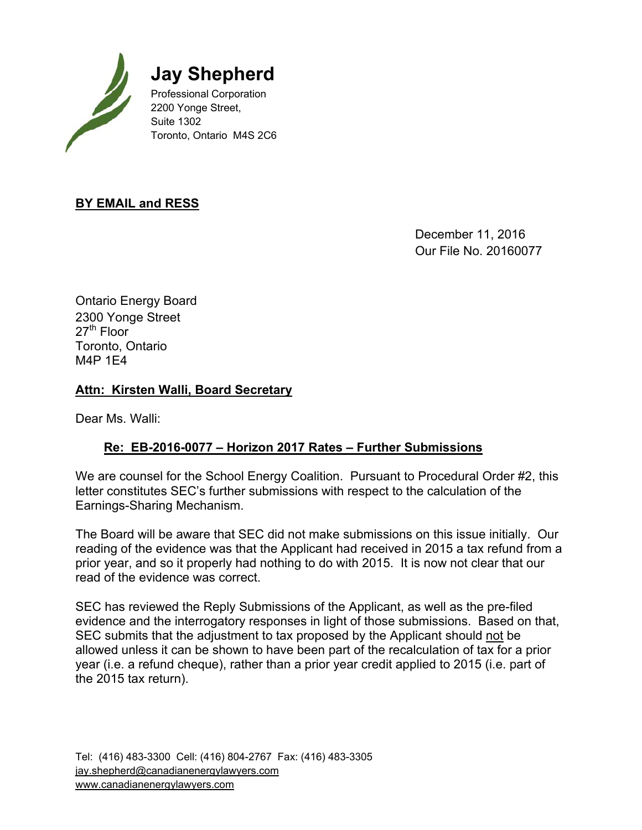

 **Jay Shepherd**

 Professional Corporation 2200 Yonge Street, Suite 1302 Toronto, Ontario M4S 2C6

### **BY EMAIL and RESS**

 December 11, 2016 Our File No. 20160077

Ontario Energy Board 2300 Yonge Street  $27<sup>th</sup>$  Floor Toronto, Ontario M4P 1E4

#### **Attn: Kirsten Walli, Board Secretary**

Dear Ms. Walli:

### **Re: EB-2016-0077 – Horizon 2017 Rates – Further Submissions**

We are counsel for the School Energy Coalition. Pursuant to Procedural Order #2, this letter constitutes SEC's further submissions with respect to the calculation of the Earnings-Sharing Mechanism.

The Board will be aware that SEC did not make submissions on this issue initially. Our reading of the evidence was that the Applicant had received in 2015 a tax refund from a prior year, and so it properly had nothing to do with 2015. It is now not clear that our read of the evidence was correct.

SEC has reviewed the Reply Submissions of the Applicant, as well as the pre-filed evidence and the interrogatory responses in light of those submissions. Based on that, SEC submits that the adjustment to tax proposed by the Applicant should not be allowed unless it can be shown to have been part of the recalculation of tax for a prior year (i.e. a refund cheque), rather than a prior year credit applied to 2015 (i.e. part of the 2015 tax return).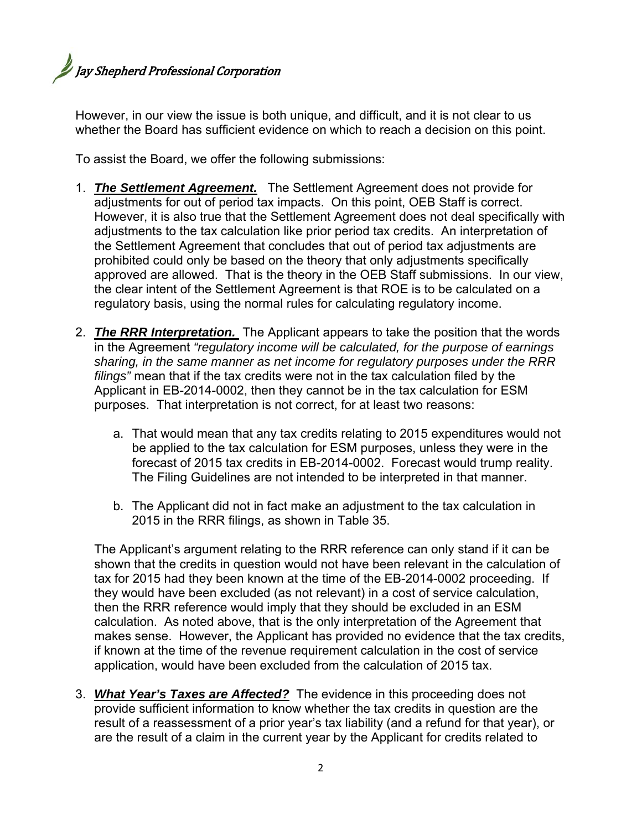# **Jay Shepherd Professional Corporation**

However, in our view the issue is both unique, and difficult, and it is not clear to us whether the Board has sufficient evidence on which to reach a decision on this point.

To assist the Board, we offer the following submissions:

- 1. *The Settlement Agreement.* The Settlement Agreement does not provide for adjustments for out of period tax impacts. On this point, OEB Staff is correct. However, it is also true that the Settlement Agreement does not deal specifically with adjustments to the tax calculation like prior period tax credits. An interpretation of the Settlement Agreement that concludes that out of period tax adjustments are prohibited could only be based on the theory that only adjustments specifically approved are allowed. That is the theory in the OEB Staff submissions. In our view, the clear intent of the Settlement Agreement is that ROE is to be calculated on a regulatory basis, using the normal rules for calculating regulatory income.
- 2. *The RRR Interpretation.* The Applicant appears to take the position that the words in the Agreement *"regulatory income will be calculated, for the purpose of earnings sharing, in the same manner as net income for regulatory purposes under the RRR filings"* mean that if the tax credits were not in the tax calculation filed by the Applicant in EB-2014-0002, then they cannot be in the tax calculation for ESM purposes. That interpretation is not correct, for at least two reasons:
	- a. That would mean that any tax credits relating to 2015 expenditures would not be applied to the tax calculation for ESM purposes, unless they were in the forecast of 2015 tax credits in EB-2014-0002. Forecast would trump reality. The Filing Guidelines are not intended to be interpreted in that manner.
	- b. The Applicant did not in fact make an adjustment to the tax calculation in 2015 in the RRR filings, as shown in Table 35.

The Applicant's argument relating to the RRR reference can only stand if it can be shown that the credits in question would not have been relevant in the calculation of tax for 2015 had they been known at the time of the EB-2014-0002 proceeding. If they would have been excluded (as not relevant) in a cost of service calculation, then the RRR reference would imply that they should be excluded in an ESM calculation. As noted above, that is the only interpretation of the Agreement that makes sense. However, the Applicant has provided no evidence that the tax credits, if known at the time of the revenue requirement calculation in the cost of service application, would have been excluded from the calculation of 2015 tax.

3. *What Year's Taxes are Affected?* The evidence in this proceeding does not provide sufficient information to know whether the tax credits in question are the result of a reassessment of a prior year's tax liability (and a refund for that year), or are the result of a claim in the current year by the Applicant for credits related to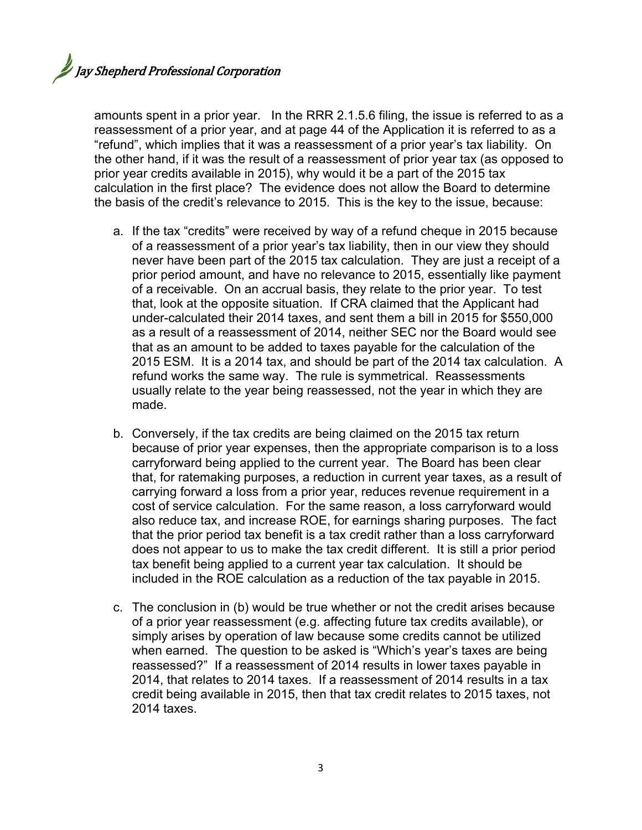amounts spent in a prior year. In the RRR 2.1.5.6 filing, the issue is referred to as a reassessment of a prior year, and at page 44 of the Application it is referred to as a "refund", which implies that it was a reassessment of a prior year's tax liability. On the other hand, if it was the result of a reassessment of prior year tax (as opposed to prior year credits available in 2015), why would it be a part of the 2015 tax calculation in the first place? The evidence does not allow the Board to determine the basis of the credit's relevance to 2015. This is the key to the issue, because:

- a. If the tax "credits" were received by way of a refund cheque in 2015 because of a reassessment of a prior year's tax liability, then in our view they should never have been part of the 2015 tax calculation. They are just a receipt of a prior period amount, and have no relevance to 2015, essentially like payment of a receivable. On an accrual basis, they relate to the prior year. To test that, look at the opposite situation. If CRA claimed that the Applicant had under-calculated their 2014 taxes, and sent them a bill in 2015 for \$550,000 as a result of a reassessment of 2014, neither SEC nor the Board would see that as an amount to be added to taxes payable for the calculation of the 2015 ESM. It is a 2014 tax, and should be part of the 2014 tax calculation. A refund works the same way. The rule is symmetrical. Reassessments usually relate to the year being reassessed, not the year in which they are made.
- b. Conversely, if the tax credits are being claimed on the 2015 tax return because of prior year expenses, then the appropriate comparison is to a loss carryforward being applied to the current year. The Board has been clear that, for ratemaking purposes, a reduction in current year taxes, as a result of carrying forward a loss from a prior year, reduces revenue requirement in a cost of service calculation. For the same reason, a loss carryforward would also reduce tax, and increase ROE, for earnings sharing purposes. The fact that the prior period tax benefit is a tax credit rather than a loss carryforward does not appear to us to make the tax credit different. It is still a prior period tax benefit being applied to a current year tax calculation. It should be included in the ROE calculation as a reduction of the tax payable in 2015.
- c. The conclusion in (b) would be true whether or not the credit arises because of a prior year reassessment (e.g. affecting future tax credits available), or simply arises by operation of law because some credits cannot be utilized when earned. The question to be asked is "Which's year's taxes are being reassessed?" If a reassessment of 2014 results in lower taxes payable in 2014, that relates to 2014 taxes. If a reassessment of 2014 results in a tax credit being available in 2015, then that tax credit relates to 2015 taxes, not 2014 taxes.